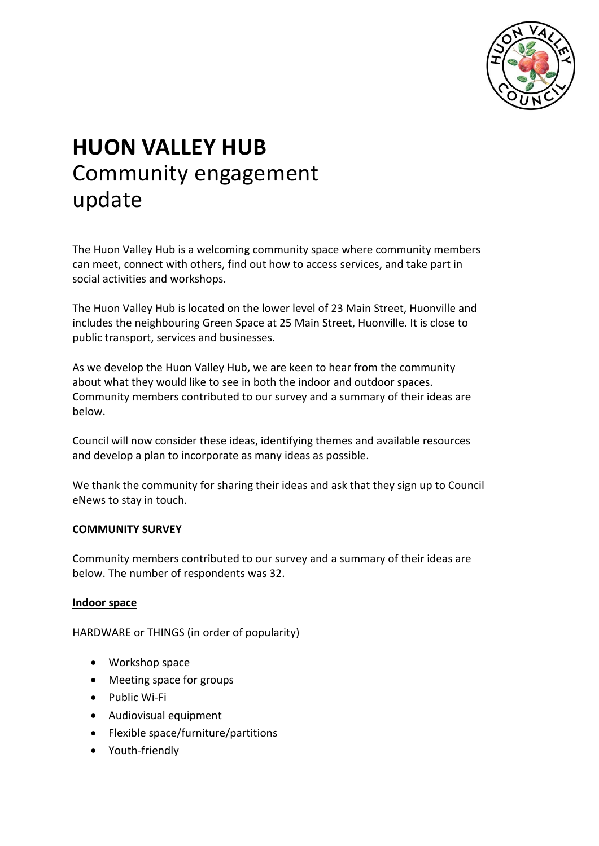

# **HUON VALLEY HUB** Community engagement update

The Huon Valley Hub is a welcoming community space where community members can meet, connect with others, find out how to access services, and take part in social activities and workshops.

The Huon Valley Hub is located on the lower level of 23 Main Street, Huonville and includes the neighbouring Green Space at 25 Main Street, Huonville. It is close to public transport, services and businesses.

As we develop the Huon Valley Hub, we are keen to hear from the community about what they would like to see in both the indoor and outdoor spaces. Community members contributed to our survey and a summary of their ideas are below.

Council will now consider these ideas, identifying themes and available resources and develop a plan to incorporate as many ideas as possible.

We thank the community for sharing their ideas and ask that they sign up to Council eNews to stay in touch.

#### **COMMUNITY SURVEY**

Community members contributed to our survey and a summary of their ideas are below. The number of respondents was 32.

#### **Indoor space**

HARDWARE or THINGS (in order of popularity)

- Workshop space
- Meeting space for groups
- Public Wi-Fi
- Audiovisual equipment
- Flexible space/furniture/partitions
- Youth-friendly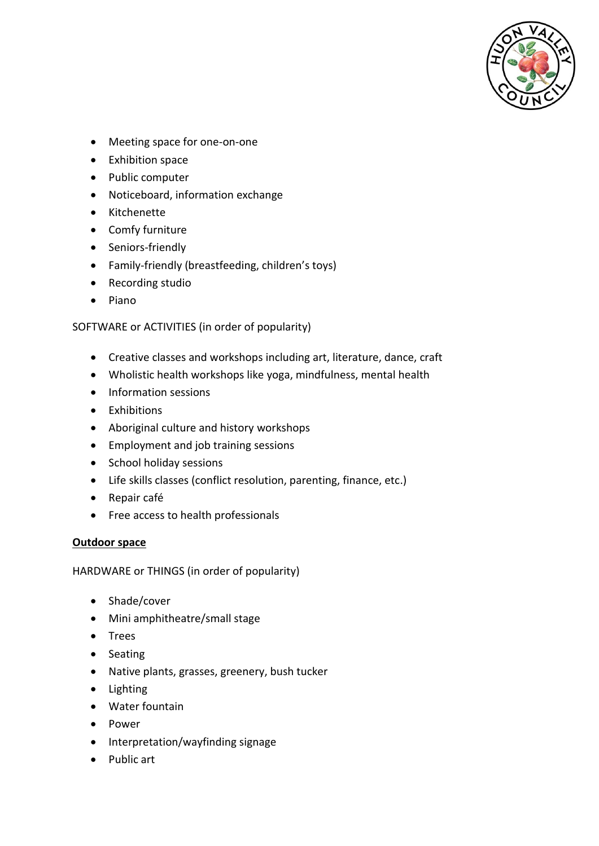

- Meeting space for one-on-one
- Exhibition space
- Public computer
- Noticeboard, information exchange
- Kitchenette
- Comfy furniture
- Seniors-friendly
- Family-friendly (breastfeeding, children's toys)
- Recording studio
- Piano

# SOFTWARE or ACTIVITIES (in order of popularity)

- Creative classes and workshops including art, literature, dance, craft
- Wholistic health workshops like yoga, mindfulness, mental health
- Information sessions
- Exhibitions
- Aboriginal culture and history workshops
- Employment and job training sessions
- School holiday sessions
- Life skills classes (conflict resolution, parenting, finance, etc.)
- Repair café
- Free access to health professionals

#### **Outdoor space**

HARDWARE or THINGS (in order of popularity)

- Shade/cover
- Mini amphitheatre/small stage
- Trees
- Seating
- Native plants, grasses, greenery, bush tucker
- Lighting
- Water fountain
- Power
- Interpretation/wayfinding signage
- Public art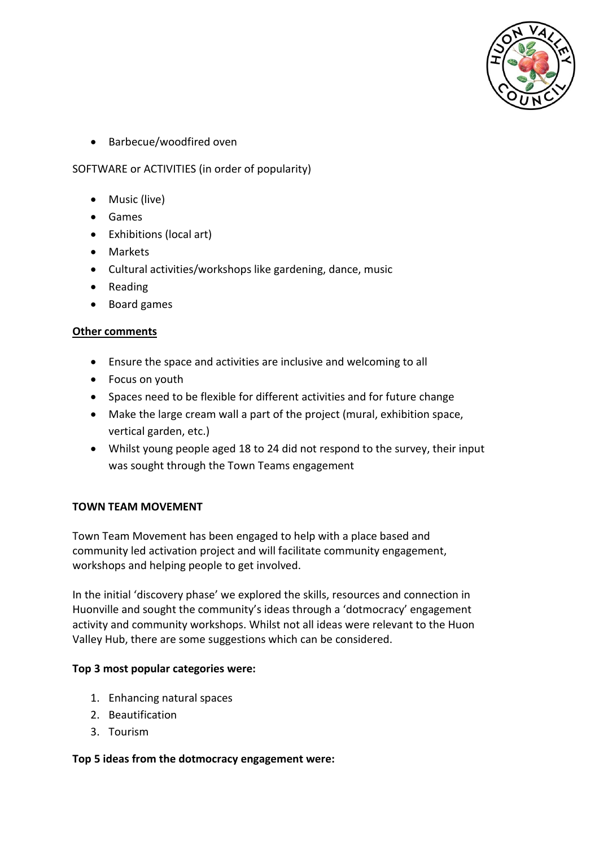

• Barbecue/woodfired oven

# SOFTWARE or ACTIVITIES (in order of popularity)

- Music (live)
- Games
- Exhibitions (local art)
- Markets
- Cultural activities/workshops like gardening, dance, music
- Reading
- Board games

# **Other comments**

- Ensure the space and activities are inclusive and welcoming to all
- Focus on youth
- Spaces need to be flexible for different activities and for future change
- Make the large cream wall a part of the project (mural, exhibition space, vertical garden, etc.)
- Whilst young people aged 18 to 24 did not respond to the survey, their input was sought through the Town Teams engagement

# **TOWN TEAM MOVEMENT**

Town Team Movement has been engaged to help with a place based and community led activation project and will facilitate community engagement, workshops and helping people to get involved.

In the initial 'discovery phase' we explored the skills, resources and connection in Huonville and sought the community's ideas through a 'dotmocracy' engagement activity and community workshops. Whilst not all ideas were relevant to the Huon Valley Hub, there are some suggestions which can be considered.

#### **Top 3 most popular categories were:**

- 1. Enhancing natural spaces
- 2. Beautification
- 3. Tourism

# **Top 5 ideas from the dotmocracy engagement were:**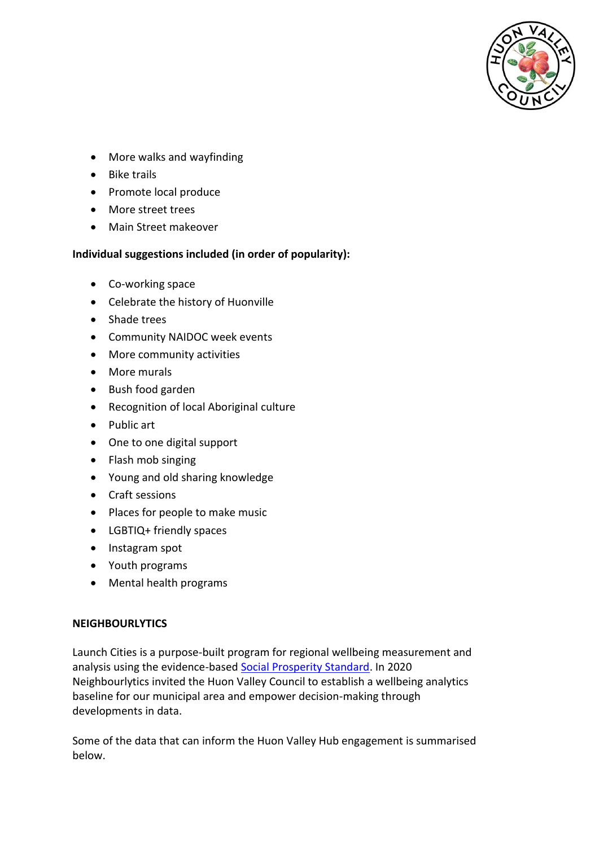

- More walks and wayfinding
- Bike trails
- Promote local produce
- More street trees
- Main Street makeover

# **Individual suggestions included (in order of popularity):**

- Co-working space
- Celebrate the history of Huonville
- Shade trees
- Community NAIDOC week events
- More community activities
- More murals
- Bush food garden
- Recognition of local Aboriginal culture
- Public art
- One to one digital support
- Flash mob singing
- Young and old sharing knowledge
- Craft sessions
- Places for people to make music
- LGBTIQ+ friendly spaces
- Instagram spot
- Youth programs
- Mental health programs

#### **NEIGHBOURLYTICS**

Launch Cities is a purpose-built program for regional wellbeing measurement and analysis using the evidence-based [Social Prosperity Standard.](https://www.neighbourlytics.com/blog/socialprosperity) In 2020 Neighbourlytics invited the Huon Valley Council to establish a wellbeing analytics baseline for our municipal area and empower decision-making through developments in data.

Some of the data that can inform the Huon Valley Hub engagement is summarised below.